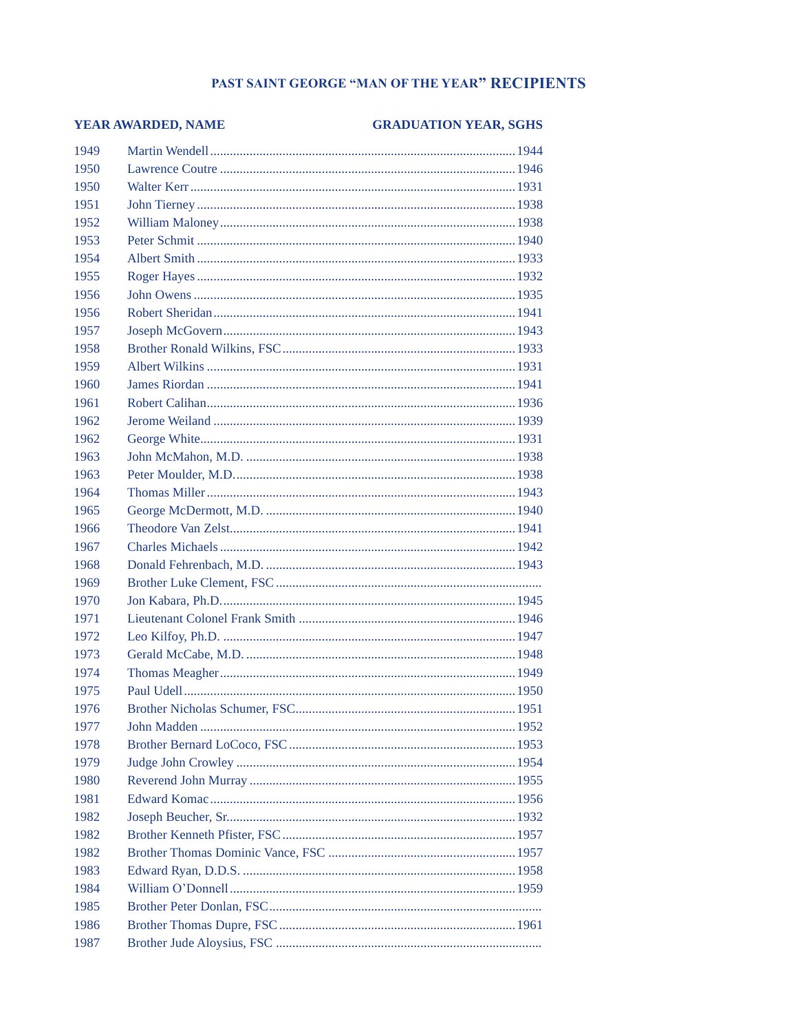## PAST SAINT GEORGE "MAN OF THE YEAR" RECIPIENTS

| YEAR AWARDED, NAME |  | <b>GRADUATION YEAR, SGHS</b> |
|--------------------|--|------------------------------|
| 1949               |  |                              |
| 1950               |  |                              |
| 1950               |  |                              |
| 1951               |  |                              |
| 1952               |  |                              |
| 1953               |  |                              |
| 1954               |  |                              |
| 1955               |  |                              |
| 1956               |  |                              |
| 1956               |  |                              |
| 1957               |  |                              |
| 1958               |  |                              |
| 1959               |  |                              |
| 1960               |  |                              |
| 1961               |  |                              |
| 1962               |  |                              |
| 1962               |  |                              |
| 1963               |  |                              |
| 1963               |  |                              |
| 1964               |  |                              |
| 1965               |  |                              |
| 1966               |  |                              |
| 1967               |  |                              |
| 1968               |  |                              |
| 1969               |  |                              |
| 1970               |  |                              |
| 1971               |  |                              |
| 1972               |  |                              |
| 1973               |  |                              |
| 1974               |  |                              |
| 1975               |  |                              |
| 1976               |  |                              |
| 1977               |  |                              |
| 1978               |  |                              |
| 1979               |  |                              |
| 1980               |  |                              |
| 1981               |  |                              |
| 1982               |  |                              |
| 1982               |  |                              |
| 1982               |  |                              |
| 1983               |  |                              |
| 1984               |  |                              |
| 1985               |  |                              |
| 1986               |  |                              |
| 1987               |  |                              |
|                    |  |                              |